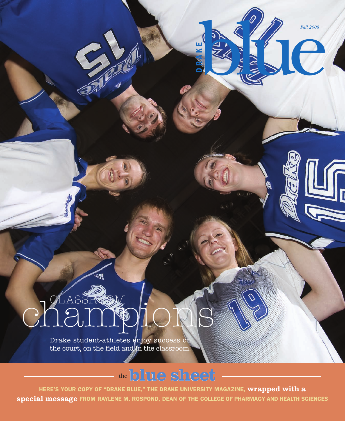**FALL 2008** 

# chassRoutons

Drake student-athletes enjoy success on the court, on the field and in the classroom.

### the**blue sheet**

**HERE'S YOUR COPY OF "DRAKE BLUE," THE DRAKE UNIVERSITY MAGAZINE, wrapped with a special message FROM RAYLENE M. ROSPOND, DEAN OF THE COLLEGE OF PHARMACY AND HEALTH SCIENCES**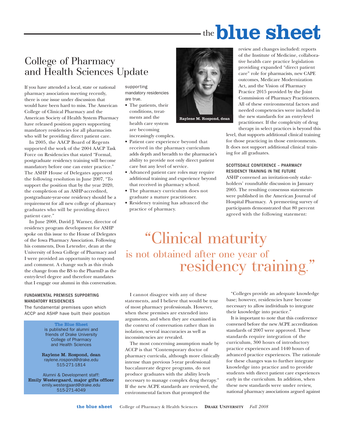### the**blue sheet**

### College of Pharmacy and Health Sciences Update

If you have attended a local, state or national pharmacy association meeting recently, there is one issue under discussion that would have been hard to miss. The American College of Clinical Pharmacy and the American Society of Health System Pharmacy have released position papers supporting mandatory residencies for all pharmacists who will be providing direct patient care.

In 2005, the AACP Board of Regents supported the work of the 2004 AACP Task Force on Residencies that stated "Formal, postgraduate residency training will become mandatory before one can enter practice." The ASHP House of Delegates approved the following resolution in June 2007, "To support the position that by the year 2020, the completion of an ASHP-accredited, postgraduate-year-one residency should be a requirement for all new college of pharmacy graduates who will be providing direct patient care."

In June 2008, David J. Warner, director of residency program development for ASHP spoke on this issue to the House of Delegates of the Iowa Pharmacy Association. Following his comments, Don Letendre, dean at the University of Iowa College of Pharmacy and I were provided an opportunity to respond and comment. A change such as this rivals the change from the BS to the PharmD as the entry-level degree and therefore mandates that I engage our alumni in this conversation.

### FUNDAMENTAL PREMISES SUPPORTING MANDATORY RESIDENCIES

The fundamental premises upon which ACCP and ASHP have built their position

> The Blue Sheet is published for alumni and friends of Drake University College of Pharmacy and Health Sciences

Raylene M. Rospond, dean raylene.rospond@drake.edu 515-271-1814

Alumni & Development staff: Emily Westergaard, major gifts officer emily.westergaard@drake.edu 515-271-4049

supporting mandatory residencies are true.

- The patients, their conditions, treatments and the health care system are becoming increasingly complex.
- Patient care experience beyond that received in the pharmacy curriculum adds depth and breadth to the pharmacist's ability to provide not only direct patient care but any level of service.
- Advanced patient care roles may require additional training and experience beyond that received in pharmacy school.
- The pharmacy curriculum does not graduate a mature practitioner.
- Residency training has advanced the practice of pharmacy.



review and changes included: reports of the Institute of Medicine, collaborative health care practice legislation providing expanded "direct patient care" role for pharmacists, new CAPE outcomes, Medicare Modernization Act, and the Vision of Pharmacy Practice 2015 provided by the Joint Commission of Pharmacy Practitioners. All of these environmental factors and needed competencies were included in the new standards for an entry-level practitioner. If the complexity of drug therapy in select practices is beyond this

level, that supports additional clinical training for those practicing in those environments. It does not support additional clinical training for all graduates.

#### SCOTTSDALE CONFERENCE – PHARMACY RESIDENCY TRAINING IN THE FUTURE

ASHP convened an invitation-only stakeholders' roundtable discussion in January 2005. The resulting consensus statements were published in the American Journal of Hospital Pharmacy. A premeeting survey of participants demonstrated that 80 percent agreed with the following statement:

### "Clinical maturity is not obtained after one year of residency training.

I cannot disagree with any of these statements, and I believe that would be true of most pharmacy professionals. However, when these premises are extended into arguments, and when they are examined in the context of conversation rather than in isolation, several inaccuracies as well as inconsistencies are revealed.

The most concerning assumption made by ACCP is that "Contemporary doctor of pharmacy curricula, although more clinically intense than previous 5-year professional baccalaureate degree programs, do not produce graduates with the ability levels necessary to manage complex drug therapy." If the new ACPE standards are reviewed, the environmental factors that prompted the

"Colleges provide an adequate knowledge base; however, residencies have become necessary to allow individuals to integrate their knowledge into practice."

It is important to note that this conference convened before the new ACPE accreditation standards of 2007 were approved. These standards require integration of the curriculum, 300 hours of introductory practice experiences and 1440 hours of advanced practice experiences. The rationale for these changes was to further integrate knowledge into practice and to provide students with direct patient care experiences early in the curriculum. In addition, when these new standards were under review, national pharmacy associations argued against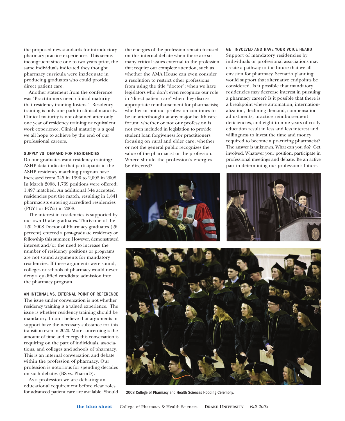the proposed new standards for introductory pharmacy practice experiences. This seems incongruent since one to two years prior, the same individuals indicated they thought pharmacy curricula were inadequate in producing graduates who could provide direct patient care.

Another statement from the conference was "Practitioners need clinical maturity that residency training fosters." Residency training is only one path to clinical maturity. Clinical maturity is not obtained after only one year of residency training or equivalent work experience. Clinical maturity is a goal we all hope to achieve by the end of our professional careers.

#### SUPPLY VS. DEMAND FOR RESIDENCIES

Do our graduates want residency training? ASHP data indicate that participants in the ASHP residency matching program have increased from 345 in 1990 to 2,092 in 2008. In March 2008, 1,769 positions were offered; 1,497 matched. An additional 344 accepted residencies post the match, resulting in 1,841 pharmacists entering accredited residencies (PGY1 or PGYs) in 2008.

The interest in residencies is supported by our own Drake graduates. Thirty-one of the 120, 2008 Doctor of Pharmacy graduates (26 percent) entered a post-graduate residency or fellowship this summer. However, demonstrated interest and/or the need to increase the number of residency positions or programs are not sound arguments for mandatory residencies. If these arguments were sound, colleges or schools of pharmacy would never deny a qualified candidate admission into the pharmacy program.

#### AN INTERNAL VS. EXTERNAL POINT OF REFERENCE

The issue under conversation is not whether residency training is a valued experience. The issue is whether residency training should be mandatory. I don't believe that arguments in support have the necessary substance for this transition even in 2020. More concerning is the amount of time and energy this conversation is requiring on the part of individuals, associations, and colleges and schools of pharmacy. This is an internal conversation and debate within the profession of pharmacy. Our profession is notorious for spending decades on such debates (BS vs. PharmD).

As a profession we are debating an educational requirement before clear roles for advanced patient care are available. Should the energies of the profession remain focused on this internal debate when there are so many critical issues external to the profession that require our complete attention, such as whether the AMA House can even consider a resolution to restrict other professions from using the title "doctor"; when we have legislators who don't even recognize our role in "direct patient care" when they discuss appropriate reimbursement for pharmacists; whether or not our profession continues to be an afterthought at any major health care forum; whether or not our profession is not even included in legislation to provide student loan forgiveness for practitioners focusing on rural and elder care; whether or not the general public recognizes the value of the pharmacist or the profession. Where should the profession's energies be directed?

#### GET INVOLVED AND HAVE YOUR VOICE HEARD

Support of mandatory residencies by individuals or professional associations may create a pathway to the future that we all envision for pharmacy. Scenario planning would support that alternative endpoints be considered. Is it possible that mandatory residencies may decrease interest in pursuing a pharmacy career? Is it possible that there is a breakpoint where automation, internationalization, declining demand, compensation adjustments, practice reimbursement deficiencies, and eight to nine years of costly education result in less and less interest and willingness to invest the time and money required to become a practicing pharmacist? The answer is unknown. What can you do? Get involved. Whatever your position, participate in professional meetings and debate. Be an active part in determining our profession's future.



2008 College of Pharmacy and Health Sciences Hooding Ceremony.